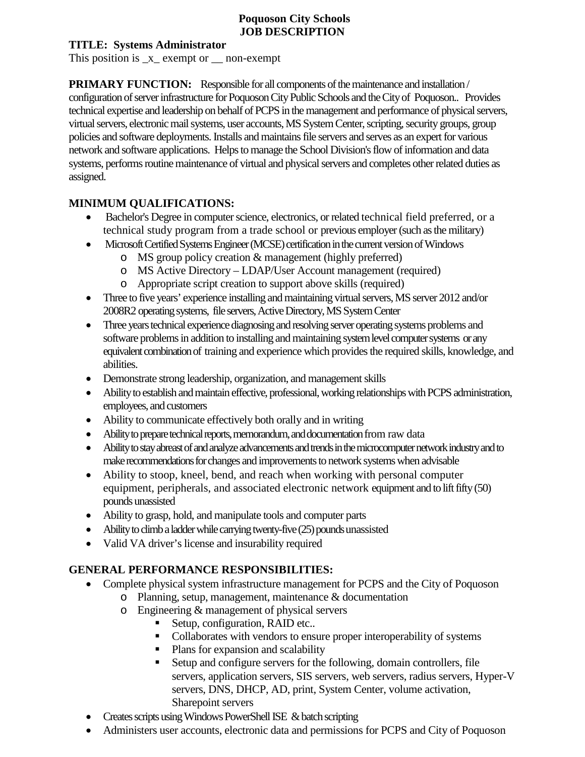#### **Poquoson City Schools JOB DESCRIPTION**

#### **TITLE: Systems Administrator**

This position is x exempt or \_\_ non-exempt

**PRIMARY FUNCTION:** Responsible for all components of the maintenance and installation / configuration of server infrastructure for PoquosonCity Public Schools and the City of Poquoson.. Provides technical expertise and leadership on behalf of PCPS in the management and performance of physical servers, virtual servers, electronic mail systems, user accounts, MS System Center, scripting, security groups, group policies and software deployments.Installs and maintains file servers and serves as an expert for various network and software applications. Helps to manage the School Division's flow of information and data systems, performs routine maintenance of virtual and physical servers and completes other related duties as assigned.

#### **MINIMUM QUALIFICATIONS:**

- Bachelor's Degree in computer science, electronics, or related technical field preferred, or a technical study program from a trade school or previous employer (such as the military)
- Microsoft Certified Systems Engineer (MCSE) certification in the current version of Windows
	- o MS group policy creation & management (highly preferred)
	- o MS Active Directory LDAP/User Account management (required)
	- o Appropriate script creation to support above skills (required)
- Three to five years' experience installing and maintaining virtual servers, MS server 2012 and/or 2008R2 operating systems, file servers, Active Directory, MS System Center
- Three years technical experience diagnosing and resolving server operating systems problems and software problems in addition to installing and maintaining system level computer systems or any equivalent combination of training and experience which provides the required skills, knowledge, and abilities.
- Demonstrate strong leadership, organization, and management skills
- Ability to establish and maintain effective, professional, working relationships with PCPS administration, employees, and customers
- Ability to communicate effectively both orally and in writing
- Ability to prepare technical reports, memorandum, and documentation from raw data
- Ability to stay abreast of and analyze advancements and trends in the microcomputer network industry and to make recommendations for changes and improvements to network systems when advisable
- Ability to stoop, kneel, bend, and reach when working with personal computer equipment, peripherals, and associated electronic network equipment and to lift fifty (50) pounds unassisted
- Ability to grasp, hold, and manipulate tools and computer parts
- Ability to climb a ladder while carrying twenty-five (25) pounds unassisted
- Valid VA driver's license and insurability required

# **GENERAL PERFORMANCE RESPONSIBILITIES:**

- Complete physical system infrastructure management for PCPS and the City of Poquoson
	- o Planning, setup, management, maintenance & documentation
		- o Engineering & management of physical servers
			- Setup, configuration, RAID etc..
			- Collaborates with vendors to ensure proper interoperability of systems
			- Plans for expansion and scalability
			- Setup and configure servers for the following, domain controllers, file servers, application servers, SIS servers, web servers, radius servers, Hyper-V servers, DNS, DHCP, AD, print, System Center, volume activation, Sharepoint servers
- Creates scripts using Windows PowerShell ISE  $\&$  batch scripting
- Administers user accounts, electronic data and permissions for PCPS and City of Poquoson